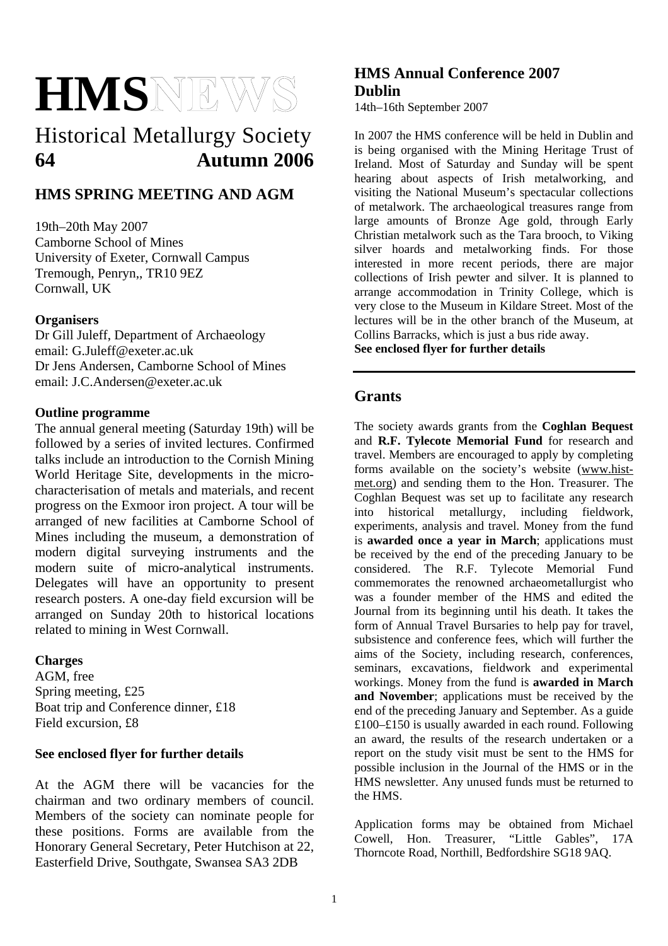# **HMS**

# Historical Metallurgy Society **64 Autumn 2006**

# **HMS SPRING MEETING AND AGM**

19th–20th May 2007 Camborne School of Mines University of Exeter, Cornwall Campus Tremough, Penryn,, TR10 9EZ Cornwall, UK

## **Organisers**

Dr Gill Juleff, Department of Archaeology email: G.Juleff@exeter.ac.uk Dr Jens Andersen, Camborne School of Mines email: J.C.Andersen@exeter.ac.uk

## **Outline programme**

The annual general meeting (Saturday 19th) will be followed by a series of invited lectures. Confirmed talks include an introduction to the Cornish Mining World Heritage Site, developments in the microcharacterisation of metals and materials, and recent progress on the Exmoor iron project. A tour will be arranged of new facilities at Camborne School of Mines including the museum, a demonstration of modern digital surveying instruments and the modern suite of micro-analytical instruments. Delegates will have an opportunity to present research posters. A one-day field excursion will be arranged on Sunday 20th to historical locations related to mining in West Cornwall.

## **Charges**

AGM, free Spring meeting, £25 Boat trip and Conference dinner, £18 Field excursion, £8

## **See enclosed flyer for further details**

At the AGM there will be vacancies for the chairman and two ordinary members of council. Members of the society can nominate people for these positions. Forms are available from the Honorary General Secretary, Peter Hutchison at 22, Easterfield Drive, Southgate, Swansea SA3 2DB

# **HMS Annual Conference 2007 Dublin**

14th–16th September 2007

In 2007 the HMS conference will be held in Dublin and is being organised with the Mining Heritage Trust of Ireland. Most of Saturday and Sunday will be spent hearing about aspects of Irish metalworking, and visiting the National Museum's spectacular collections of metalwork. The archaeological treasures range from large amounts of Bronze Age gold, through Early Christian metalwork such as the Tara brooch, to Viking silver hoards and metalworking finds. For those interested in more recent periods, there are major collections of Irish pewter and silver. It is planned to arrange accommodation in Trinity College, which is very close to the Museum in Kildare Street. Most of the lectures will be in the other branch of the Museum, at Collins Barracks, which is just a bus ride away. **See enclosed flyer for further details** 

## **Grants**

The society awards grants from the **Coghlan Bequest** and **R.F. Tylecote Memorial Fund** for research and travel. Members are encouraged to apply by completing forms available on the society's website (www.histmet.org) and sending them to the Hon. Treasurer. The Coghlan Bequest was set up to facilitate any research into historical metallurgy, including fieldwork, experiments, analysis and travel. Money from the fund is **awarded once a year in March**; applications must be received by the end of the preceding January to be considered. The R.F. Tylecote Memorial Fund commemorates the renowned archaeometallurgist who was a founder member of the HMS and edited the Journal from its beginning until his death. It takes the form of Annual Travel Bursaries to help pay for travel, subsistence and conference fees, which will further the aims of the Society, including research, conferences, seminars, excavations, fieldwork and experimental workings. Money from the fund is **awarded in March and November**; applications must be received by the end of the preceding January and September. As a guide £100–£150 is usually awarded in each round. Following an award, the results of the research undertaken or a report on the study visit must be sent to the HMS for possible inclusion in the Journal of the HMS or in the HMS newsletter. Any unused funds must be returned to the HMS.

Application forms may be obtained from Michael<br>Cowell, Hon. Treasurer, "Little Gables", 17A Cowell, Hon. Treasurer, Thorncote Road, Northill, Bedfordshire SG18 9AQ.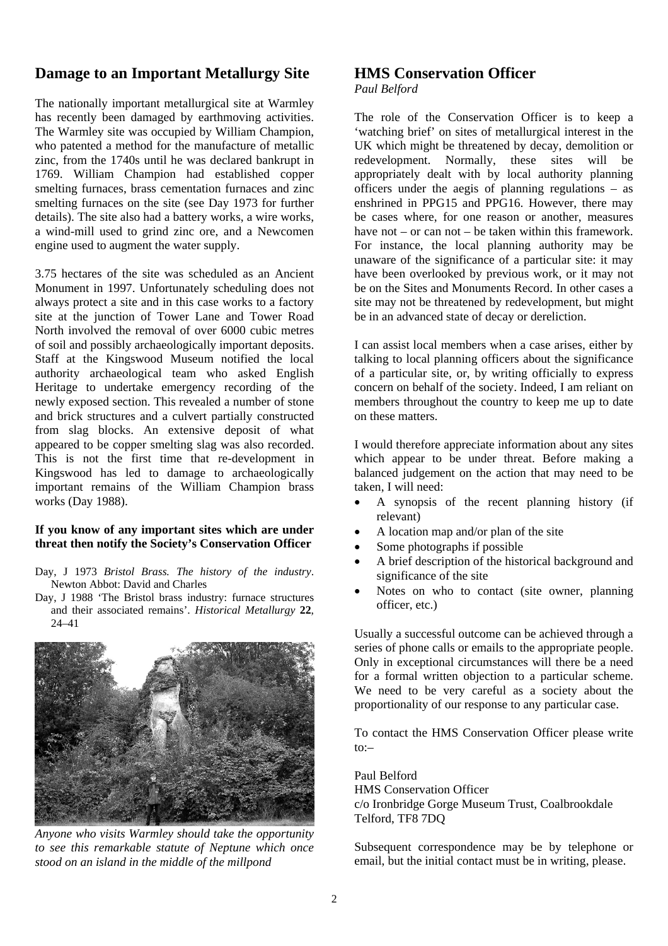## **Damage to an Important Metallurgy Site**

The nationally important metallurgical site at Warmley has recently been damaged by earthmoving activities. The Warmley site was occupied by William Champion, who patented a method for the manufacture of metallic zinc, from the 1740s until he was declared bankrupt in 1769. William Champion had established copper smelting furnaces, brass cementation furnaces and zinc smelting furnaces on the site (see Day 1973 for further details). The site also had a battery works, a wire works, a wind-mill used to grind zinc ore, and a Newcomen engine used to augment the water supply.

3.75 hectares of the site was scheduled as an Ancient Monument in 1997. Unfortunately scheduling does not always protect a site and in this case works to a factory site at the junction of Tower Lane and Tower Road North involved the removal of over 6000 cubic metres of soil and possibly archaeologically important deposits. Staff at the Kingswood Museum notified the local authority archaeological team who asked English Heritage to undertake emergency recording of the newly exposed section. This revealed a number of stone and brick structures and a culvert partially constructed from slag blocks. An extensive deposit of what appeared to be copper smelting slag was also recorded. This is not the first time that re-development in Kingswood has led to damage to archaeologically important remains of the William Champion brass works (Day 1988).

#### **If you know of any important sites which are under threat then notify the Society's Conservation Officer**

- Day, J 1973 *Bristol Brass. The history of the industry*. Newton Abbot: David and Charles
- Day, J 1988 'The Bristol brass industry: furnace structures and their associated remains'. *Historical Metallurgy* **22**, 24–41



*Anyone who visits Warmley should take the opportunity to see this remarkable statute of Neptune which once stood on an island in the middle of the millpond* 

## **HMS Conservation Officer**

#### *Paul Belford*

The role of the Conservation Officer is to keep a 'watching brief' on sites of metallurgical interest in the UK which might be threatened by decay, demolition or redevelopment. Normally, these sites will be appropriately dealt with by local authority planning officers under the aegis of planning regulations – as enshrined in PPG15 and PPG16. However, there may be cases where, for one reason or another, measures have not  $=$  or can not  $=$  be taken within this framework. For instance, the local planning authority may be unaware of the significance of a particular site: it may have been overlooked by previous work, or it may not be on the Sites and Monuments Record. In other cases a site may not be threatened by redevelopment, but might be in an advanced state of decay or dereliction.

I can assist local members when a case arises, either by talking to local planning officers about the significance of a particular site, or, by writing officially to express concern on behalf of the society. Indeed, I am reliant on members throughout the country to keep me up to date on these matters.

I would therefore appreciate information about any sites which appear to be under threat. Before making a balanced judgement on the action that may need to be taken, I will need:

- A synopsis of the recent planning history (if relevant) •
- A location map and/or plan of the site
- Some photographs if possible
- A brief description of the historical background and significance of the site
- Notes on who to contact (site owner, planning officer, etc.)

Usually a successful outcome can be achieved through a series of phone calls or emails to the appropriate people. Only in exceptional circumstances will there be a need for a formal written objection to a particular scheme. We need to be very careful as a society about the proportionality of our response to any particular case.

To contact the HMS Conservation Officer please write to:–

Paul Belford HMS Conservation Officer c/o Ironbridge Gorge Museum Trust, Coalbrookdale Telford, TF8 7DQ

Subsequent correspondence may be by telephone or email, but the initial contact must be in writing, please.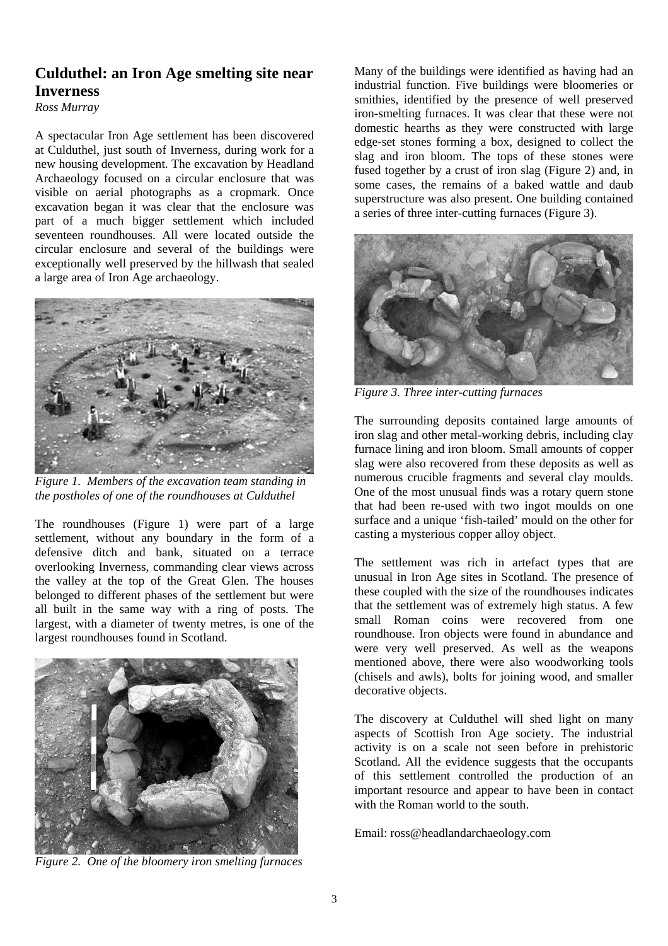# **Culduthel: an Iron Age smelting site near Inverness**

*Ross Murray* 

A spectacular Iron Age settlement has been discovered at Culduthel, just south of Inverness, during work for a new housing development. The excavation by Headland Archaeology focused on a circular enclosure that was visible on aerial photographs as a cropmark. Once excavation began it was clear that the enclosure was part of a much bigger settlement which included seventeen roundhouses. All were located outside the circular enclosure and several of the buildings were exceptionally well preserved by the hillwash that sealed a large area of Iron Age archaeology.



*Figure 1. Members of the excavation team standing in the postholes of one of the roundhouses at Culduthel* 

The roundhouses (Figure 1) were part of a large settlement, without any boundary in the form of a defensive ditch and bank, situated on a terrace overlooking Inverness, commanding clear views across the valley at the top of the Great Glen. The houses belonged to different phases of the settlement but were all built in the same way with a ring of posts. The largest, with a diameter of twenty metres, is one of the largest roundhouses found in Scotland.



*Figure 2. One of the bloomery iron smelting furnaces*

Many of the buildings were identified as having had an industrial function. Five buildings were bloomeries or smithies, identified by the presence of well preserved iron-smelting furnaces. It was clear that these were not domestic hearths as they were constructed with large edge-set stones forming a box, designed to collect the slag and iron bloom. The tops of these stones were fused together by a crust of iron slag (Figure 2) and, in some cases, the remains of a baked wattle and daub superstructure was also present. One building contained a series of three inter-cutting furnaces (Figure 3).



*Figure 3. Three inter-cutting furnaces* 

The surrounding deposits contained large amounts of iron slag and other metal-working debris, including clay furnace lining and iron bloom. Small amounts of copper slag were also recovered from these deposits as well as numerous crucible fragments and several clay moulds. One of the most unusual finds was a rotary quern stone that had been re-used with two ingot moulds on one surface and a unique 'fish-tailed' mould on the other for casting a mysterious copper alloy object.

The settlement was rich in artefact types that are unusual in Iron Age sites in Scotland. The presence of these coupled with the size of the roundhouses indicates that the settlement was of extremely high status. A few small Roman coins were recovered from one roundhouse. Iron objects were found in abundance and were very well preserved. As well as the weapons mentioned above, there were also woodworking tools (chisels and awls), bolts for joining wood, and smaller decorative objects.

The discovery at Culduthel will shed light on many aspects of Scottish Iron Age society. The industrial activity is on a scale not seen before in prehistoric Scotland. All the evidence suggests that the occupants of this settlement controlled the production of an important resource and appear to have been in contact with the Roman world to the south.

Email: ross@headlandarchaeology.com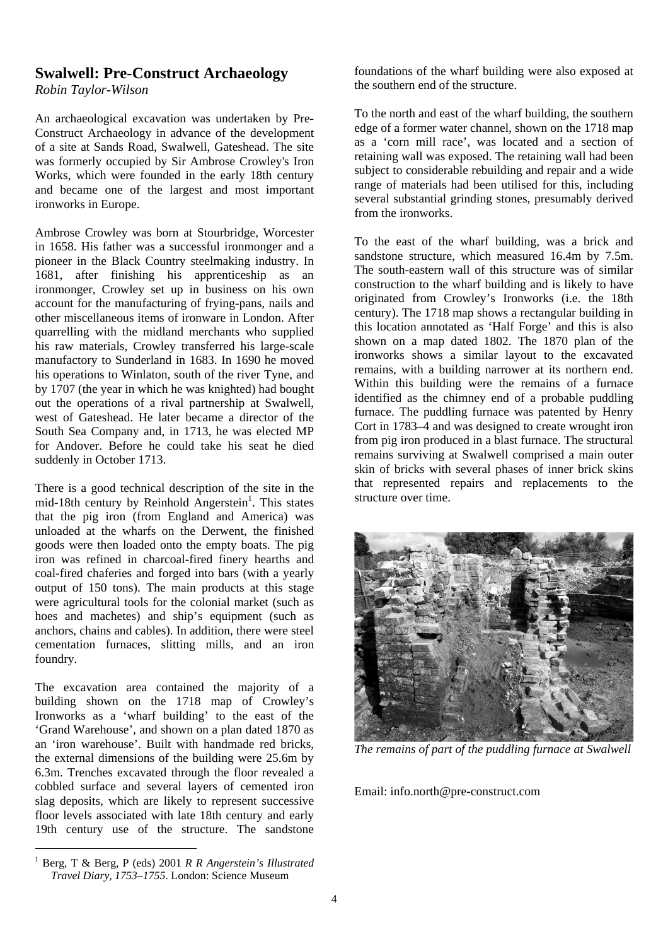## **Swalwell: Pre-Construct Archaeology**

*Robin Taylor-Wilson* 

An archaeological excavation was undertaken by Pre-Construct Archaeology in advance of the development of a site at Sands Road, Swalwell, Gateshead. The site was formerly occupied by Sir Ambrose Crowley's Iron Works, which were founded in the early 18th century and became one of the largest and most important ironworks in Europe.

Ambrose Crowley was born at Stourbridge, Worcester in 1658. His father was a successful ironmonger and a pioneer in the Black Country steelmaking industry. In 1681, after finishing his apprenticeship as an ironmonger, Crowley set up in business on his own account for the manufacturing of frying-pans, nails and other miscellaneous items of ironware in London. After quarrelling with the midland merchants who supplied his raw materials, Crowley transferred his large-scale manufactory to Sunderland in 1683. In 1690 he moved his operations to Winlaton, south of the river Tyne, and by 1707 (the year in which he was knighted) had bought out the operations of a rival partnership at Swalwell, west of Gateshead. He later became a director of the South Sea Company and, in 1713, he was elected MP for Andover. Before he could take his seat he died suddenly in October 1713.

There is a good technical description of the site in the mid-18th century by Reinhold Angerstein<sup>1</sup>. This states that the pig iron (from England and America) was unloaded at the wharfs on the Derwent, the finished goods were then loaded onto the empty boats. The pig iron was refined in charcoal-fired finery hearths and coal-fired chaferies and forged into bars (with a yearly output of 150 tons). The main products at this stage were agricultural tools for the colonial market (such as hoes and machetes) and ship's equipment (such as anchors, chains and cables). In addition, there were steel cementation furnaces, slitting mills, and an iron foundry.

The excavation area contained the majority of a building shown on the 1718 map of Crowley's Ironworks as a 'wharf building' to the east of the 'Grand Warehouse', and shown on a plan dated 1870 as an 'iron warehouse'. Built with handmade red bricks, the external dimensions of the building were 25.6m by 6.3m. Trenches excavated through the floor revealed a cobbled surface and several layers of cemented iron slag deposits, which are likely to represent successive floor levels associated with late 18th century and early 19th century use of the structure. The sandstone

foundations of the wharf building were also exposed at the southern end of the structure.

To the north and east of the wharf building, the southern edge of a former water channel, shown on the 1718 map as a 'corn mill race', was located and a section of retaining wall was exposed. The retaining wall had been subject to considerable rebuilding and repair and a wide range of materials had been utilised for this, including several substantial grinding stones, presumably derived from the ironworks.

To the east of the wharf building, was a brick and sandstone structure, which measured 16.4m by 7.5m. The south-eastern wall of this structure was of similar construction to the wharf building and is likely to have originated from Crowley's Ironworks (i.e. the 18th century). The 1718 map shows a rectangular building in this location annotated as 'Half Forge' and this is also shown on a map dated 1802. The 1870 plan of the ironworks shows a similar layout to the excavated remains, with a building narrower at its northern end. Within this building were the remains of a furnace identified as the chimney end of a probable puddling furnace. The puddling furnace was patented by Henry Cort in 1783–4 and was designed to create wrought iron from pig iron produced in a blast furnace. The structural remains surviving at Swalwell comprised a main outer skin of bricks with several phases of inner brick skins that represented repairs and replacements to the structure over time.



*The remains of part of the puddling furnace at Swalwell* 

Email: info.north@pre-construct.com

<span id="page-3-0"></span> $\frac{1}{1}$  Berg, T & Berg, P (eds) 2001 *R R Angerstein's Illustrated Travel Diary, 1753–1755*. London: Science Museum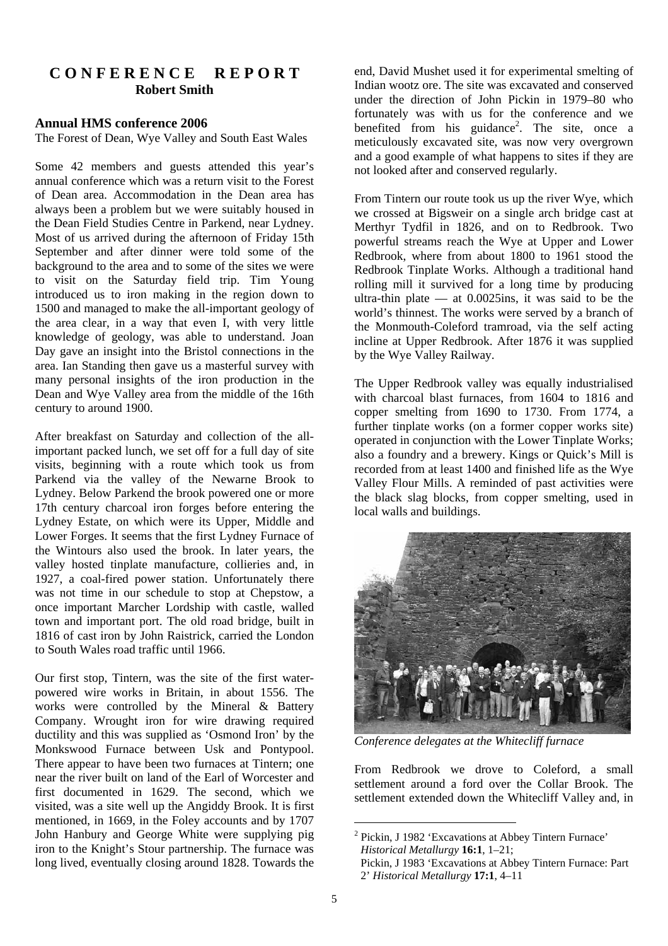## **C O N F E R E N C E R E P O R T Robert Smith**

#### **Annual HMS conference 2006**

The Forest of Dean, Wye Valley and South East Wales

Some 42 members and guests attended this year's annual conference which was a return visit to the Forest of Dean area. Accommodation in the Dean area has always been a problem but we were suitably housed in the Dean Field Studies Centre in Parkend, near Lydney. Most of us arrived during the afternoon of Friday 15th September and after dinner were told some of the background to the area and to some of the sites we were to visit on the Saturday field trip. Tim Young introduced us to iron making in the region down to 1500 and managed to make the all-important geology of the area clear, in a way that even I, with very little knowledge of geology, was able to understand. Joan Day gave an insight into the Bristol connections in the area. Ian Standing then gave us a masterful survey with many personal insights of the iron production in the Dean and Wye Valley area from the middle of the 16th century to around 1900.

After breakfast on Saturday and collection of the allimportant packed lunch, we set off for a full day of site visits, beginning with a route which took us from Parkend via the valley of the Newarne Brook to Lydney. Below Parkend the brook powered one or more 17th century charcoal iron forges before entering the Lydney Estate, on which were its Upper, Middle and Lower Forges. It seems that the first Lydney Furnace of the Wintours also used the brook. In later years, the valley hosted tinplate manufacture, collieries and, in 1927, a coal-fired power station. Unfortunately there was not time in our schedule to stop at Chepstow, a once important Marcher Lordship with castle, walled town and important port. The old road bridge, built in 1816 of cast iron by John Raistrick, carried the London to South Wales road traffic until 1966.

Our first stop, Tintern, was the site of the first waterpowered wire works in Britain, in about 1556. The works were controlled by the Mineral & Battery Company. Wrought iron for wire drawing required ductility and this was supplied as 'Osmond Iron' by the Monkswood Furnace between Usk and Pontypool. There appear to have been two furnaces at Tintern; one near the river built on land of the Earl of Worcester and first documented in 1629. The second, which we visited, was a site well up the Angiddy Brook. It is first mentioned, in 1669, in the Foley accounts and by 1707 John Hanbury and George White were supplying pig iron to the Knight's Stour partnership. The furnace was long lived, eventually closing around 1828. Towards the

end, David Mushet used it for experimental smelting of Indian wootz ore. The site was excavated and conserved under the direction of John Pickin in 1979–80 who fortunately was with us for the conference and we benefited from his guidance<sup>2</sup>. The site, once a meticulously excavated site, was now very overgrown and a good example of what happens to sites if they are not looked after and conserved regularly.

From Tintern our route took us up the river Wye, which we crossed at Bigsweir on a single arch bridge cast at Merthyr Tydfil in 1826, and on to Redbrook. Two powerful streams reach the Wye at Upper and Lower Redbrook, where from about 1800 to 1961 stood the Redbrook Tinplate Works. Although a traditional hand rolling mill it survived for a long time by producing ultra-thin plate  $-$  at 0.0025ins, it was said to be the world's thinnest. The works were served by a branch of the Monmouth-Coleford tramroad, via the self acting incline at Upper Redbrook. After 1876 it was supplied by the Wye Valley Railway.

The Upper Redbrook valley was equally industrialised with charcoal blast furnaces, from 1604 to 1816 and copper smelting from 1690 to 1730. From 1774, a further tinplate works (on a former copper works site) operated in conjunction with the Lower Tinplate Works; also a foundry and a brewery. Kings or Quick's Mill is recorded from at least 1400 and finished life as the Wye Valley Flour Mills. A reminded of past activities were the black slag blocks, from copper smelting, used in local walls and buildings.



*Conference delegates at the Whitecliff furnace* 

From Redbrook we drove to Coleford, a small settlement around a ford over the Collar Brook. The settlement extended down the Whitecliff Valley and, in

<span id="page-4-0"></span> $\frac{1}{2}$ <sup>2</sup> Pickin, J 1982 'Excavations at Abbey Tintern Furnace' *Historical Metallurgy* **16:1**, 1–21; Pickin, J 1983 'Excavations at Abbey Tintern Furnace: Part

<sup>2&#</sup>x27; *Historical Metallurgy* **17:1**, 4–11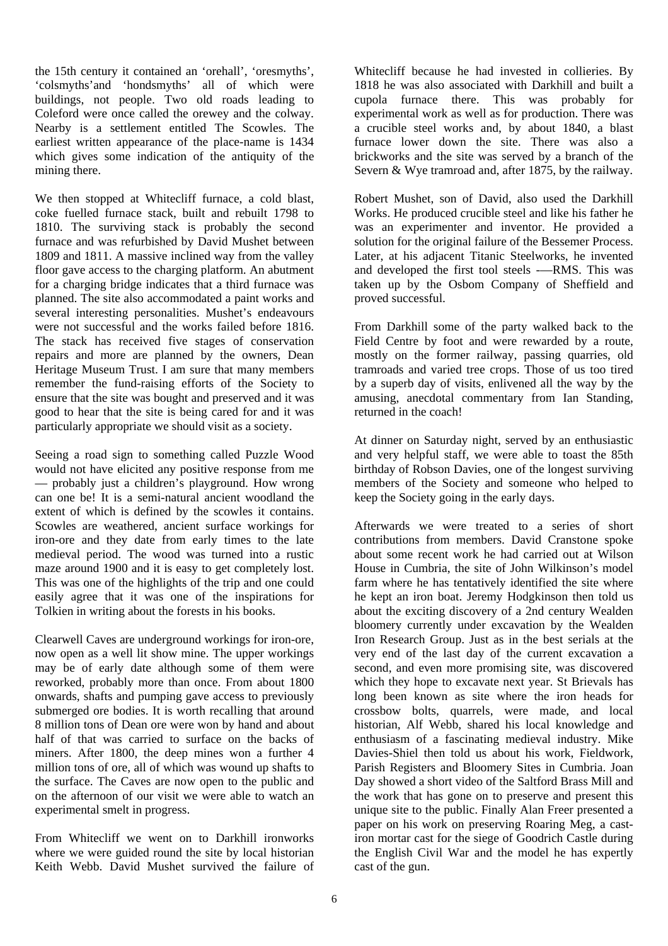the 15th century it contained an 'orehall', 'oresmyths', 'colsmyths'and 'hondsmyths' all of which were buildings, not people. Two old roads leading to Coleford were once called the orewey and the colway. Nearby is a settlement entitled The Scowles. The earliest written appearance of the place-name is 1434 which gives some indication of the antiquity of the mining there.

We then stopped at Whitecliff furnace, a cold blast, coke fuelled furnace stack, built and rebuilt 1798 to 1810. The surviving stack is probably the second furnace and was refurbished by David Mushet between 1809 and 1811. A massive inclined way from the valley floor gave access to the charging platform. An abutment for a charging bridge indicates that a third furnace was planned. The site also accommodated a paint works and several interesting personalities. Mushet's endeavours were not successful and the works failed before 1816. The stack has received five stages of conservation repairs and more are planned by the owners, Dean Heritage Museum Trust. I am sure that many members remember the fund-raising efforts of the Society to ensure that the site was bought and preserved and it was good to hear that the site is being cared for and it was particularly appropriate we should visit as a society.

Seeing a road sign to something called Puzzle Wood would not have elicited any positive response from me — probably just a children's playground. How wrong can one be! It is a semi-natural ancient woodland the extent of which is defined by the scowles it contains. Scowles are weathered, ancient surface workings for iron-ore and they date from early times to the late medieval period. The wood was turned into a rustic maze around 1900 and it is easy to get completely lost. This was one of the highlights of the trip and one could easily agree that it was one of the inspirations for Tolkien in writing about the forests in his books.

Clearwell Caves are underground workings for iron-ore, now open as a well lit show mine. The upper workings may be of early date although some of them were reworked, probably more than once. From about 1800 onwards, shafts and pumping gave access to previously submerged ore bodies. It is worth recalling that around 8 million tons of Dean ore were won by hand and about half of that was carried to surface on the backs of miners. After 1800, the deep mines won a further 4 million tons of ore, all of which was wound up shafts to the surface. The Caves are now open to the public and on the afternoon of our visit we were able to watch an experimental smelt in progress.

From Whitecliff we went on to Darkhill ironworks where we were guided round the site by local historian Keith Webb. David Mushet survived the failure of Whitecliff because he had invested in collieries. By 1818 he was also associated with Darkhill and built a cupola furnace there. This was probably for experimental work as well as for production. There was a crucible steel works and, by about 1840, a blast furnace lower down the site. There was also a brickworks and the site was served by a branch of the Severn & Wye tramroad and, after 1875, by the railway.

Robert Mushet, son of David, also used the Darkhill Works. He produced crucible steel and like his father he was an experimenter and inventor. He provided a solution for the original failure of the Bessemer Process. Later, at his adjacent Titanic Steelworks, he invented and developed the first tool steels -—RMS. This was taken up by the Osbom Company of Sheffield and proved successful.

From Darkhill some of the party walked back to the Field Centre by foot and were rewarded by a route, mostly on the former railway, passing quarries, old tramroads and varied tree crops. Those of us too tired by a superb day of visits, enlivened all the way by the amusing, anecdotal commentary from Ian Standing, returned in the coach!

At dinner on Saturday night, served by an enthusiastic and very helpful staff, we were able to toast the 85th birthday of Robson Davies, one of the longest surviving members of the Society and someone who helped to keep the Society going in the early days.

Afterwards we were treated to a series of short contributions from members. David Cranstone spoke about some recent work he had carried out at Wilson House in Cumbria, the site of John Wilkinson's model farm where he has tentatively identified the site where he kept an iron boat. Jeremy Hodgkinson then told us about the exciting discovery of a 2nd century Wealden bloomery currently under excavation by the Wealden Iron Research Group. Just as in the best serials at the very end of the last day of the current excavation a second, and even more promising site, was discovered which they hope to excavate next year. St Brievals has long been known as site where the iron heads for crossbow bolts, quarrels, were made, and local historian, Alf Webb, shared his local knowledge and enthusiasm of a fascinating medieval industry. Mike Davies-Shiel then told us about his work, Fieldwork, Parish Registers and Bloomery Sites in Cumbria. Joan Day showed a short video of the Saltford Brass Mill and the work that has gone on to preserve and present this unique site to the public. Finally Alan Freer presented a paper on his work on preserving Roaring Meg, a castiron mortar cast for the siege of Goodrich Castle during the English Civil War and the model he has expertly cast of the gun.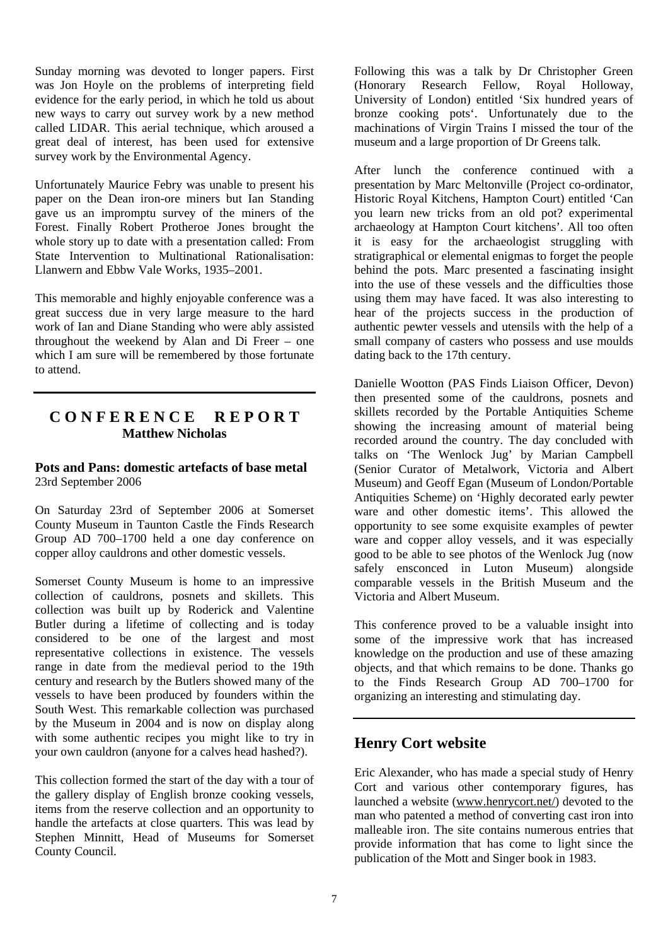Sunday morning was devoted to longer papers. First was Jon Hoyle on the problems of interpreting field evidence for the early period, in which he told us about new ways to carry out survey work by a new method called LIDAR. This aerial technique, which aroused a great deal of interest, has been used for extensive survey work by the Environmental Agency.

Unfortunately Maurice Febry was unable to present his paper on the Dean iron-ore miners but Ian Standing gave us an impromptu survey of the miners of the Forest. Finally Robert Protheroe Jones brought the whole story up to date with a presentation called: From State Intervention to Multinational Rationalisation: Llanwern and Ebbw Vale Works, 1935–2001.

This memorable and highly enjoyable conference was a great success due in very large measure to the hard work of Ian and Diane Standing who were ably assisted throughout the weekend by Alan and Di Freer – one which I am sure will be remembered by those fortunate to attend.

## **C O N F E R E N C E R E P O R T Matthew Nicholas**

## **Pots and Pans: domestic artefacts of base metal**  23rd September 2006

On Saturday 23rd of September 2006 at Somerset County Museum in Taunton Castle the Finds Research Group AD 700–1700 held a one day conference on copper alloy cauldrons and other domestic vessels.

Somerset County Museum is home to an impressive collection of cauldrons, posnets and skillets. This collection was built up by Roderick and Valentine Butler during a lifetime of collecting and is today considered to be one of the largest and most representative collections in existence. The vessels range in date from the medieval period to the 19th century and research by the Butlers showed many of the vessels to have been produced by founders within the South West. This remarkable collection was purchased by the Museum in 2004 and is now on display along with some authentic recipes you might like to try in your own cauldron (anyone for a calves head hashed?).

This collection formed the start of the day with a tour of the gallery display of English bronze cooking vessels, items from the reserve collection and an opportunity to handle the artefacts at close quarters. This was lead by Stephen Minnitt, Head of Museums for Somerset County Council.

Following this was a talk by Dr Christopher Green (Honorary Research Fellow, Royal Holloway, University of London) entitled 'Six hundred years of bronze cooking pots'. Unfortunately due to the machinations of Virgin Trains I missed the tour of the museum and a large proportion of Dr Greens talk.

After lunch the conference continued with a presentation by Marc Meltonville (Project co-ordinator, Historic Royal Kitchens, Hampton Court) entitled 'Can you learn new tricks from an old pot? experimental archaeology at Hampton Court kitchens'. All too often it is easy for the archaeologist struggling with stratigraphical or elemental enigmas to forget the people behind the pots. Marc presented a fascinating insight into the use of these vessels and the difficulties those using them may have faced. It was also interesting to hear of the projects success in the production of authentic pewter vessels and utensils with the help of a small company of casters who possess and use moulds dating back to the 17th century.

Danielle Wootton (PAS Finds Liaison Officer, Devon) then presented some of the cauldrons, posnets and skillets recorded by the Portable Antiquities Scheme showing the increasing amount of material being recorded around the country. The day concluded with talks on 'The Wenlock Jug' by Marian Campbell (Senior Curator of Metalwork, Victoria and Albert Museum) and Geoff Egan (Museum of London/Portable Antiquities Scheme) on 'Highly decorated early pewter ware and other domestic items'. This allowed the opportunity to see some exquisite examples of pewter ware and copper alloy vessels, and it was especially good to be able to see photos of the Wenlock Jug (now safely ensconced in Luton Museum) alongside comparable vessels in the British Museum and the Victoria and Albert Museum.

This conference proved to be a valuable insight into some of the impressive work that has increased knowledge on the production and use of these amazing objects, and that which remains to be done. Thanks go to the Finds Research Group AD 700–1700 for organizing an interesting and stimulating day.

## **Henry Cort website**

Eric Alexander, who has made a special study of Henry Cort and various other contemporary figures, has launched a website (www.henrycort.net/) devoted to the man who patented a method of converting cast iron into malleable iron. The site contains numerous entries that provide information that has come to light since the publication of the Mott and Singer book in 1983.